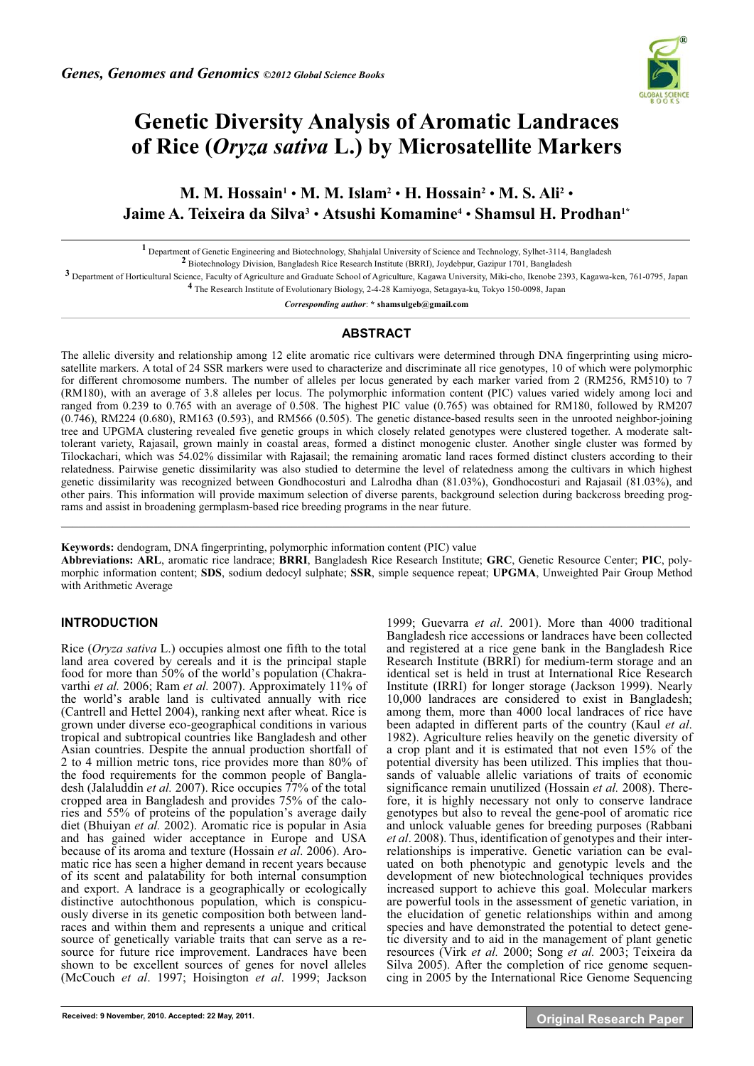

# **Genetic Diversity Analysis of Aromatic Landraces of Rice (***Oryza sativa* **L.) by Microsatellite Markers**

**M. M. Hossain1** • **M. M. Islam2** • **H. Hossain2** • **M. S. Ali2** • **Jaime A. Teixeira da Silva3** • **Atsushi Komamine4** • **Shamsul H. Prodhan1\***

**1** Department of Genetic Engineering and Biotechnology, Shahjalal University of Science and Technology, Sylhet-3114, Bangladesh

**2** Biotechnology Division, Bangladesh Rice Research Institute (BRRI), Joydebpur, Gazipur 1701, Bangladesh

**3** Department of Horticultural Science, Faculty of Agriculture and Graduate School of Agriculture, Kagawa University, Miki-cho, Ikenobe 2393, Kagawa-ken, 761-0795, Japan **4** The Research Institute of Evolutionary Biology, 2-4-28 Kamiyoga, Setagaya-ku, Tokyo 150-0098, Japan

*Corresponding author*: **\* shamsulgeb@gmail.com** 

## **ABSTRACT**

The allelic diversity and relationship among 12 elite aromatic rice cultivars were determined through DNA fingerprinting using microsatellite markers. A total of 24 SSR markers were used to characterize and discriminate all rice genotypes, 10 of which were polymorphic for different chromosome numbers. The number of alleles per locus generated by each marker varied from 2 (RM256, RM510) to 7 (RM180), with an average of 3.8 alleles per locus. The polymorphic information content (PIC) values varied widely among loci and ranged from 0.239 to 0.765 with an average of 0.508. The highest PIC value (0.765) was obtained for RM180, followed by RM207 (0.746), RM224 (0.680), RM163 (0.593), and RM566 (0.505). The genetic distance-based results seen in the unrooted neighbor-joining tree and UPGMA clustering revealed five genetic groups in which closely related genotypes were clustered together. A moderate salttolerant variety, Rajasail, grown mainly in coastal areas, formed a distinct monogenic cluster. Another single cluster was formed by Tilockachari, which was 54.02% dissimilar with Rajasail; the remaining aromatic land races formed distinct clusters according to their relatedness. Pairwise genetic dissimilarity was also studied to determine the level of relatedness among the cultivars in which highest genetic dissimilarity was recognized between Gondhocosturi and Lalrodha dhan (81.03%), Gondhocosturi and Rajasail (81.03%), and other pairs. This information will provide maximum selection of diverse parents, background selection during backcross breeding programs and assist in broadening germplasm-based rice breeding programs in the near future.

**Keywords:** dendogram, DNA fingerprinting, polymorphic information content (PIC) value

**Abbreviations: ARL**, aromatic rice landrace; **BRRI**, Bangladesh Rice Research Institute; **GRC**, Genetic Resource Center; **PIC**, polymorphic information content; **SDS**, sodium dedocyl sulphate; **SSR**, simple sequence repeat; **UPGMA**, Unweighted Pair Group Method with Arithmetic Average

 $\mathcal{L}_\mathcal{L} = \{ \mathcal{L}_\mathcal{L} = \{ \mathcal{L}_\mathcal{L} = \{ \mathcal{L}_\mathcal{L} = \{ \mathcal{L}_\mathcal{L} = \{ \mathcal{L}_\mathcal{L} = \{ \mathcal{L}_\mathcal{L} = \{ \mathcal{L}_\mathcal{L} = \{ \mathcal{L}_\mathcal{L} = \{ \mathcal{L}_\mathcal{L} = \{ \mathcal{L}_\mathcal{L} = \{ \mathcal{L}_\mathcal{L} = \{ \mathcal{L}_\mathcal{L} = \{ \mathcal{L}_\mathcal{L} = \{ \mathcal{L}_\mathcal{$ 

# **INTRODUCTION**

Rice (*Oryza sativa* L.) occupies almost one fifth to the total land area covered by cereals and it is the principal staple food for more than 50% of the world's population (Chakravarthi *et al.* 2006; Ram *et al.* 2007). Approximately 11% of the world's arable land is cultivated annually with rice (Cantrell and Hettel 2004), ranking next after wheat. Rice is grown under diverse eco-geographical conditions in various tropical and subtropical countries like Bangladesh and other Asian countries. Despite the annual production shortfall of 2 to 4 million metric tons, rice provides more than 80% of the food requirements for the common people of Bangladesh (Jalaluddin *et al.* 2007). Rice occupies 77% of the total cropped area in Bangladesh and provides 75% of the calories and 55% of proteins of the population's average daily diet (Bhuiyan *et al.* 2002). Aromatic rice is popular in Asia and has gained wider acceptance in Europe and USA because of its aroma and texture (Hossain *et al*. 2006). Aromatic rice has seen a higher demand in recent years because of its scent and palatability for both internal consumption and export. A landrace is a geographically or ecologically distinctive autochthonous population, which is conspicuously diverse in its genetic composition both between landraces and within them and represents a unique and critical source of genetically variable traits that can serve as a resource for future rice improvement. Landraces have been shown to be excellent sources of genes for novel alleles (McCouch *et al*. 1997; Hoisington *et al*. 1999; Jackson 1999; Guevarra *et al*. 2001). More than 4000 traditional Bangladesh rice accessions or landraces have been collected and registered at a rice gene bank in the Bangladesh Rice Research Institute (BRRI) for medium-term storage and an identical set is held in trust at International Rice Research Institute (IRRI) for longer storage (Jackson 1999). Nearly 10,000 landraces are considered to exist in Bangladesh; among them, more than 4000 local landraces of rice have been adapted in different parts of the country (Kaul *et al*. 1982). Agriculture relies heavily on the genetic diversity of a crop plant and it is estimated that not even 15% of the potential diversity has been utilized. This implies that thousands of valuable allelic variations of traits of economic significance remain unutilized (Hossain *et al.* 2008). Therefore, it is highly necessary not only to conserve landrace genotypes but also to reveal the gene-pool of aromatic rice and unlock valuable genes for breeding purposes (Rabbani *et al*. 2008). Thus, identification of genotypes and their interrelationships is imperative. Genetic variation can be evaluated on both phenotypic and genotypic levels and the development of new biotechnological techniques provides increased support to achieve this goal. Molecular markers are powerful tools in the assessment of genetic variation, in the elucidation of genetic relationships within and among species and have demonstrated the potential to detect genetic diversity and to aid in the management of plant genetic resources (Virk *et al.* 2000; Song *et al.* 2003; Teixeira da Silva 2005). After the completion of rice genome sequencing in 2005 by the International Rice Genome Sequencing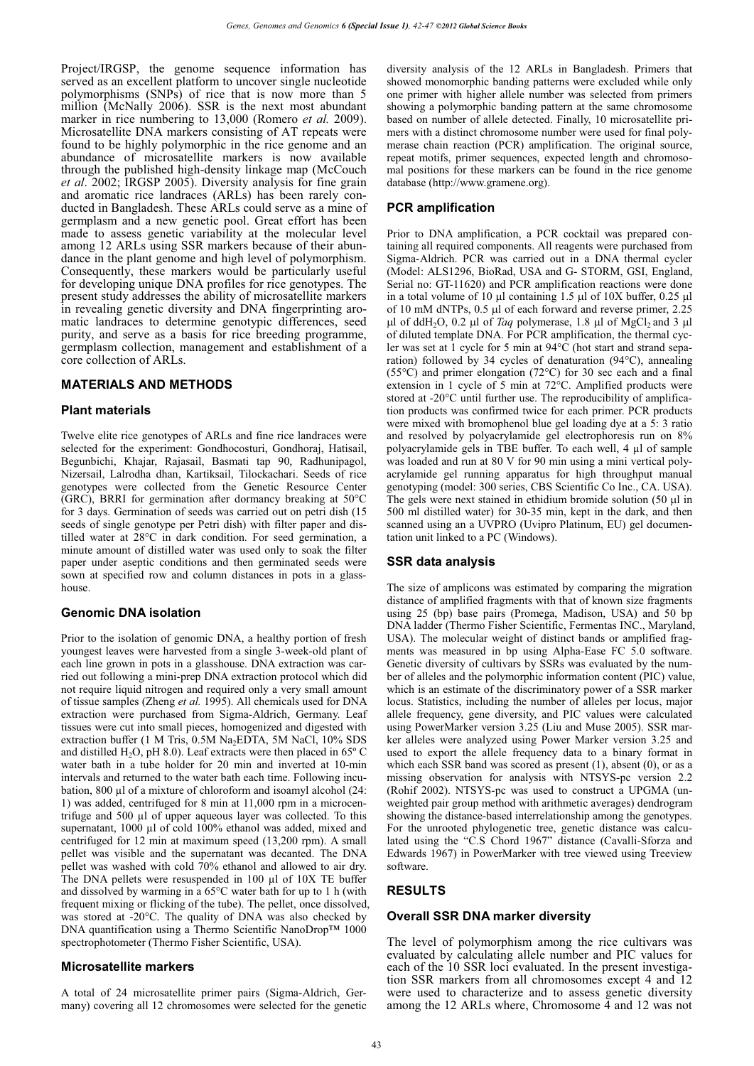Project/IRGSP, the genome sequence information has served as an excellent platform to uncover single nucleotide polymorphisms (SNPs) of rice that is now more than 5 million (McNally 2006). SSR is the next most abundant marker in rice numbering to 13,000 (Romero *et al.* 2009). Microsatellite DNA markers consisting of AT repeats were found to be highly polymorphic in the rice genome and an abundance of microsatellite markers is now available through the published high-density linkage map (McCouch *et al*. 2002; IRGSP 2005). Diversity analysis for fine grain and aromatic rice landraces (ARLs) has been rarely conducted in Bangladesh. These ARLs could serve as a mine of germplasm and a new genetic pool. Great effort has been made to assess genetic variability at the molecular level among 12 ARLs using SSR markers because of their abundance in the plant genome and high level of polymorphism. Consequently, these markers would be particularly useful for developing unique DNA profiles for rice genotypes. The present study addresses the ability of microsatellite markers in revealing genetic diversity and DNA fingerprinting aromatic landraces to determine genotypic differences, seed purity, and serve as a basis for rice breeding programme, germplasm collection, management and establishment of a core collection of ARLs.

## **MATERIALS AND METHODS**

## **Plant materials**

Twelve elite rice genotypes of ARLs and fine rice landraces were selected for the experiment: Gondhocosturi, Gondhoraj, Hatisail, Begunbichi, Khajar, Rajasail, Basmati tap 90, Radhunipagol, Nizersail, Lalrodha dhan, Kartiksail, Tilockachari. Seeds of rice genotypes were collected from the Genetic Resource Center (GRC), BRRI for germination after dormancy breaking at 50°C for 3 days. Germination of seeds was carried out on petri dish (15 seeds of single genotype per Petri dish) with filter paper and distilled water at 28°C in dark condition. For seed germination, a minute amount of distilled water was used only to soak the filter paper under aseptic conditions and then germinated seeds were sown at specified row and column distances in pots in a glasshouse.

### **Genomic DNA isolation**

Prior to the isolation of genomic DNA, a healthy portion of fresh youngest leaves were harvested from a single 3-week-old plant of each line grown in pots in a glasshouse. DNA extraction was carried out following a mini-prep DNA extraction protocol which did not require liquid nitrogen and required only a very small amount of tissue samples (Zheng *et al.* 1995). All chemicals used for DNA extraction were purchased from Sigma-Aldrich, Germany. Leaf tissues were cut into small pieces, homogenized and digested with extraction buffer (1 M Tris, 0.5M Na<sub>2</sub>EDTA, 5M NaCl, 10% SDS and distilled H<sub>2</sub>O, pH 8.0). Leaf extracts were then placed in 65 $\degree$ C water bath in a tube holder for 20 min and inverted at 10-min intervals and returned to the water bath each time. Following incubation, 800 μl of a mixture of chloroform and isoamyl alcohol (24: 1) was added, centrifuged for 8 min at 11,000 rpm in a microcentrifuge and 500 μl of upper aqueous layer was collected. To this supernatant, 1000 μl of cold 100% ethanol was added, mixed and centrifuged for 12 min at maximum speed (13,200 rpm). A small pellet was visible and the supernatant was decanted. The DNA pellet was washed with cold 70% ethanol and allowed to air dry. The DNA pellets were resuspended in 100 μl of 10X TE buffer and dissolved by warming in a 65°C water bath for up to 1 h (with frequent mixing or flicking of the tube). The pellet, once dissolved, was stored at -20°C. The quality of DNA was also checked by DNA quantification using a Thermo Scientific NanoDrop™ 1000 spectrophotometer (Thermo Fisher Scientific, USA).

### **Microsatellite markers**

A total of 24 microsatellite primer pairs (Sigma-Aldrich, Germany) covering all 12 chromosomes were selected for the genetic diversity analysis of the 12 ARLs in Bangladesh. Primers that showed monomorphic banding patterns were excluded while only one primer with higher allele number was selected from primers showing a polymorphic banding pattern at the same chromosome based on number of allele detected. Finally, 10 microsatellite primers with a distinct chromosome number were used for final polymerase chain reaction (PCR) amplification. The original source, repeat motifs, primer sequences, expected length and chromosomal positions for these markers can be found in the rice genome database (http://www.gramene.org).

# **PCR amplification**

Prior to DNA amplification, a PCR cocktail was prepared containing all required components. All reagents were purchased from Sigma-Aldrich. PCR was carried out in a DNA thermal cycler (Model: ALS1296, BioRad, USA and G- STORM, GSI, England, Serial no: GT-11620) and PCR amplification reactions were done in a total volume of 10  $\mu$ l containing 1.5  $\mu$ l of 10X buffer, 0.25  $\mu$ l of 10 mM dNTPs, 0.5 µl of each forward and reverse primer, 2.25  $\mu$ l of ddH<sub>2</sub>O, 0.2  $\mu$ l of *Taq* polymerase, 1.8  $\mu$ l of MgCl<sub>2</sub> and 3  $\mu$ l of diluted template DNA. For PCR amplification, the thermal cycler was set at 1 cycle for 5 min at 94°C (hot start and strand separation) followed by 34 cycles of denaturation (94°C), annealing (55°C) and primer elongation (72°C) for 30 sec each and a final extension in 1 cycle of 5 min at 72°C. Amplified products were stored at -20°C until further use. The reproducibility of amplification products was confirmed twice for each primer. PCR products were mixed with bromophenol blue gel loading dye at a 5: 3 ratio and resolved by polyacrylamide gel electrophoresis run on 8% polyacrylamide gels in TBE buffer. To each well, 4 μl of sample was loaded and run at 80 V for 90 min using a mini vertical polyacrylamide gel running apparatus for high throughput manual genotyping (model: 300 series, CBS Scientific Co Inc., CA. USA). The gels were next stained in ethidium bromide solution  $(50 \mu)$  in 500 ml distilled water) for 30-35 min, kept in the dark, and then scanned using an a UVPRO (Uvipro Platinum, EU) gel documentation unit linked to a PC (Windows).

## **SSR data analysis**

The size of amplicons was estimated by comparing the migration distance of amplified fragments with that of known size fragments using 25 (bp) base pairs (Promega, Madison, USA) and 50 bp DNA ladder (Thermo Fisher Scientific, Fermentas INC., Maryland, USA). The molecular weight of distinct bands or amplified fragments was measured in bp using Alpha-Ease FC 5.0 software. Genetic diversity of cultivars by SSRs was evaluated by the number of alleles and the polymorphic information content (PIC) value, which is an estimate of the discriminatory power of a SSR marker locus. Statistics, including the number of alleles per locus, major allele frequency, gene diversity, and PIC values were calculated using PowerMarker version 3.25 (Liu and Muse 2005). SSR marker alleles were analyzed using Power Marker version 3.25 and used to export the allele frequency data to a binary format in which each SSR band was scored as present  $(1)$ , absent  $(0)$ , or as a missing observation for analysis with NTSYS-pc version 2.2 (Rohif 2002). NTSYS-pc was used to construct a UPGMA (unweighted pair group method with arithmetic averages) dendrogram showing the distance-based interrelationship among the genotypes. For the unrooted phylogenetic tree, genetic distance was calculated using the "C.S Chord 1967" distance (Cavalli-Sforza and Edwards 1967) in PowerMarker with tree viewed using Treeview software.

## **RESULTS**

### **Overall SSR DNA marker diversity**

The level of polymorphism among the rice cultivars was evaluated by calculating allele number and PIC values for each of the 10 SSR loci evaluated. In the present investigation SSR markers from all chromosomes except 4 and 12 were used to characterize and to assess genetic diversity among the 12 ARLs where, Chromosome  $\overline{4}$  and 12 was not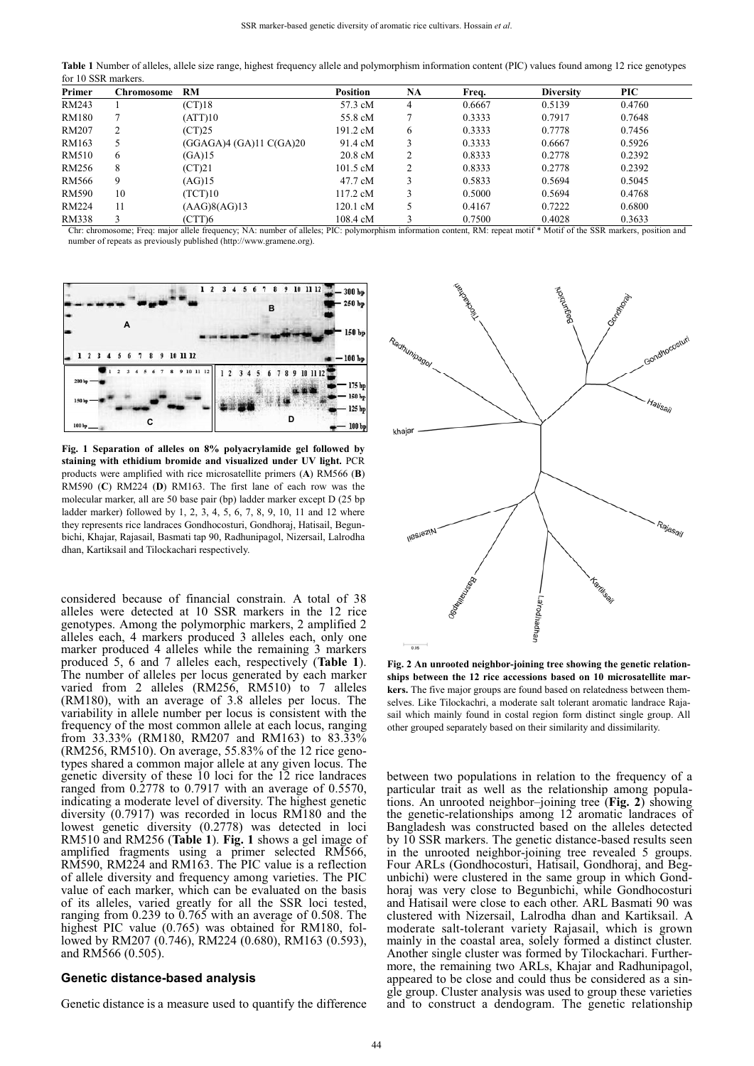**Table 1** Number of alleles, allele size range, highest frequency allele and polymorphism information content (PIC) values found among 12 rice genotypes for 10 SSR markers.

| Primer       | Chromosome | <b>RM</b>               | <b>Position</b>    | <b>NA</b>      | Freq.  | <b>Diversity</b> | <b>PIC</b> |
|--------------|------------|-------------------------|--------------------|----------------|--------|------------------|------------|
| RM243        |            | $(CT)$ 18               | 57.3 cM            |                | 0.6667 | 0.5139           | 0.4760     |
| RM180        |            | (ATT)10                 | 55.8 cM            |                | 0.3333 | 0.7917           | 0.7648     |
| RM207        | 2          | (CT)25                  | 191.2 cM           | 6              | 0.3333 | 0.7778           | 0.7456     |
| RM163        | 5          | (GGAGA)4 (GA)11 C(GA)20 | 91.4 cM            |                | 0.3333 | 0.6667           | 0.5926     |
| RM510        | 6          | (GA)15                  | $20.8 \text{ cM}$  | ∍              | 0.8333 | 0.2778           | 0.2392     |
| RM256        | 8          | (CT)21                  | $101.5 \text{ cM}$ | $\mathfrak{D}$ | 0.8333 | 0.2778           | 0.2392     |
| RM566        | 9          | (AG)15                  | 47.7 cM            |                | 0.5833 | 0.5694           | 0.5045     |
| <b>RM590</b> | 10         | TCT)10                  | 117.2 cM           |                | 0.5000 | 0.5694           | 0.4768     |
| RM224        | 11         | (AAG)8(AG)13            | 120.1 cM           |                | 0.4167 | 0.7222           | 0.6800     |
| RM338        | 3          | (CTT)6                  | 108.4 cM           |                | 0.7500 | 0.4028           | 0.3633     |

Chr: chromosome; Freq: major allele frequency; NA: number of alleles; PIC: polymorphism information content, RM: repeat motif \* Motif of the SSR markers, position and number of repeats as previously published (http://www.gramene.org).



**Fig. 1 Separation of alleles on 8% polyacrylamide gel followed by staining with ethidium bromide and visualized under UV light.** PCR products were amplified with rice microsatellite primers (**A**) RM566 (**B**) RM590 (**C**) RM224 (**D**) RM163. The first lane of each row was the molecular marker, all are 50 base pair (bp) ladder marker except D (25 bp ladder marker) followed by 1, 2, 3, 4, 5, 6, 7, 8, 9, 10, 11 and 12 where they represents rice landraces Gondhocosturi, Gondhoraj, Hatisail, Begunbichi, Khajar, Rajasail, Basmati tap 90, Radhunipagol, Nizersail, Lalrodha dhan, Kartiksail and Tilockachari respectively.

considered because of financial constrain. A total of 38 alleles were detected at 10 SSR markers in the 12 rice genotypes. Among the polymorphic markers, 2 amplified 2 alleles each, 4 markers produced 3 alleles each, only one marker produced 4 alleles while the remaining 3 markers produced 5, 6 and 7 alleles each, respectively (**Table 1**). The number of alleles per locus generated by each marker varied from 2 alleles (RM256, RM510) to 7 alleles (RM180), with an average of 3.8 alleles per locus. The variability in allele number per locus is consistent with the frequency of the most common allele at each locus, ranging from 33.33% (RM180, RM207 and RM163) to 83.33% (RM256, RM510). On average, 55.83% of the 12 rice genotypes shared a common major allele at any given locus. The genetic diversity of these 10 loci for the 12 rice landraces ranged from  $0.2778$  to 0.7917 with an average of 0.5570, indicating a moderate level of diversity. The highest genetic diversity (0.7917) was recorded in locus RM180 and the lowest genetic diversity (0.2778) was detected in loci RM510 and RM256 (**Table 1**). **Fig. 1** shows a gel image of amplified fragments using a primer selected RM566, RM590, RM224 and RM163. The PIC value is a reflection of allele diversity and frequency among varieties. The PIC value of each marker, which can be evaluated on the basis of its alleles, varied greatly for all the SSR loci tested, ranging from 0.239 to 0.765 with an average of 0.508. The highest PIC value (0.765) was obtained for RM180, followed by RM207 (0.746), RM224 (0.680), RM163 (0.593), and RM566 (0.505).

#### **Genetic distance-based analysis**

Genetic distance is a measure used to quantify the difference



**Fig. 2 An unrooted neighbor-joining tree showing the genetic relationships between the 12 rice accessions based on 10 microsatellite markers.** The five major groups are found based on relatedness between themselves. Like Tilockachri, a moderate salt tolerant aromatic landrace Rajasail which mainly found in costal region form distinct single group. All other grouped separately based on their similarity and dissimilarity.

between two populations in relation to the frequency of a particular trait as well as the relationship among populations. An unrooted neighbor–joining tree (**Fig. 2**) showing the genetic-relationships among 12 aromatic landraces of Bangladesh was constructed based on the alleles detected by 10 SSR markers. The genetic distance-based results seen in the unrooted neighbor-joining tree revealed 5 groups. Four ARLs (Gondhocosturi, Hatisail, Gondhoraj, and Begunbichi) were clustered in the same group in which Gondhoraj was very close to Begunbichi, while Gondhocosturi and Hatisail were close to each other. ARL Basmati 90 was clustered with Nizersail, Lalrodha dhan and Kartiksail. A moderate salt-tolerant variety Rajasail, which is grown mainly in the coastal area, solely formed a distinct cluster. Another single cluster was formed by Tilockachari. Furthermore, the remaining two ARLs, Khajar and Radhunipagol, appeared to be close and could thus be considered as a single group. Cluster analysis was used to group these varieties and to construct a dendogram. The genetic relationship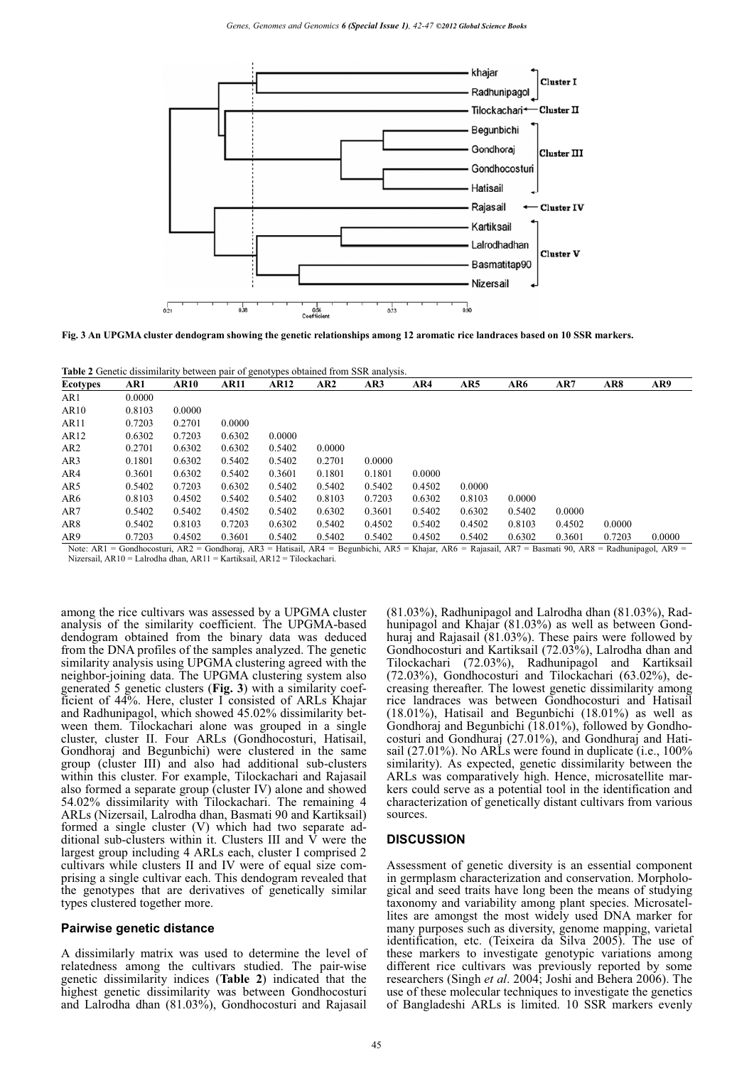

**Fig. 3 An UPGMA cluster dendogram showing the genetic relationships among 12 aromatic rice landraces based on 10 SSR markers.**

**Table 2** Genetic dissimilarity between pair of genotypes obtained from SSR analysis.

| Ecotypes         | AR1    | <b>AR10</b> | <b>AR11</b> | <b>AR12</b> | AR <sub>2</sub> | AR3    | AR4    | AR5    | AR6    | AR7    | AR8    | AR9    |
|------------------|--------|-------------|-------------|-------------|-----------------|--------|--------|--------|--------|--------|--------|--------|
| AR1              | 0.0000 |             |             |             |                 |        |        |        |        |        |        |        |
| AR10             | 0.8103 | 0.0000      |             |             |                 |        |        |        |        |        |        |        |
| AR <sub>11</sub> | 0.7203 | 0.2701      | 0.0000      |             |                 |        |        |        |        |        |        |        |
| AR12             | 0.6302 | 0.7203      | 0.6302      | 0.0000      |                 |        |        |        |        |        |        |        |
| AR2              | 0.2701 | 0.6302      | 0.6302      | 0.5402      | 0.0000          |        |        |        |        |        |        |        |
| AR3              | 0.1801 | 0.6302      | 0.5402      | 0.5402      | 0.2701          | 0.0000 |        |        |        |        |        |        |
| AR4              | 0.3601 | 0.6302      | 0.5402      | 0.3601      | 0.1801          | 0.1801 | 0.0000 |        |        |        |        |        |
| AR5              | 0.5402 | 0.7203      | 0.6302      | 0.5402      | 0.5402          | 0.5402 | 0.4502 | 0.0000 |        |        |        |        |
| AR6              | 0.8103 | 0.4502      | 0.5402      | 0.5402      | 0.8103          | 0.7203 | 0.6302 | 0.8103 | 0.0000 |        |        |        |
| AR7              | 0.5402 | 0.5402      | 0.4502      | 0.5402      | 0.6302          | 0.3601 | 0.5402 | 0.6302 | 0.5402 | 0.0000 |        |        |
| AR8              | 0.5402 | 0.8103      | 0.7203      | 0.6302      | 0.5402          | 0.4502 | 0.5402 | 0.4502 | 0.8103 | 0.4502 | 0.0000 |        |
| AR9              | 0.7203 | 0.4502      | 0.3601      | 0.5402      | 0.5402          | 0.5402 | 0.4502 | 0.5402 | 0.6302 | 0.3601 | 0.7203 | 0.0000 |

Note: AR1 = Gondhocosturi, AR2 = Gondhoraj, AR3 = Hatisail, AR4 = Begunbichi, AR5 = Khajar, AR6 = Rajasail, AR7 = Basmati 90, AR8 = Radhunipagol, AR9 = Nizersail, AR10 = Lalrodha dhan, AR11 = Kartiksail, AR12 = Tilockachari.

among the rice cultivars was assessed by a UPGMA cluster analysis of the similarity coefficient. The UPGMA-based dendogram obtained from the binary data was deduced from the DNA profiles of the samples analyzed. The genetic similarity analysis using UPGMA clustering agreed with the neighbor-joining data. The UPGMA clustering system also generated 5 genetic clusters (**Fig. 3**) with a similarity coefficient of 44%. Here, cluster I consisted of ARLs Khajar and Radhunipagol, which showed 45.02% dissimilarity between them. Tilockachari alone was grouped in a single cluster, cluster II. Four ARLs (Gondhocosturi, Hatisail, Gondhoraj and Begunbichi) were clustered in the same group (cluster III) and also had additional sub-clusters within this cluster. For example, Tilockachari and Rajasail also formed a separate group (cluster IV) alone and showed 54.02% dissimilarity with Tilockachari. The remaining 4 ARLs (Nizersail, Lalrodha dhan, Basmati 90 and Kartiksail) formed a single cluster (V) which had two separate additional sub-clusters within it. Clusters III and  $\hat{V}$  were the largest group including 4 ARLs each, cluster I comprised 2 cultivars while clusters II and IV were of equal size comprising a single cultivar each. This dendogram revealed that the genotypes that are derivatives of genetically similar types clustered together more.

### **Pairwise genetic distance**

A dissimilarly matrix was used to determine the level of relatedness among the cultivars studied. The pair-wise genetic dissimilarity indices (**Table 2**) indicated that the highest genetic dissimilarity was between Gondhocosturi and Lalrodha dhan (81.03%), Gondhocosturi and Rajasail (81.03%), Radhunipagol and Lalrodha dhan (81.03%), Radhunipagol and Khajar (81.03%) as well as between Gondhuraj and Rajasail (81.03%). These pairs were followed by Gondhocosturi and Kartiksail (72.03%), Lalrodha dhan and Tilockachari (72.03%), Radhunipagol and Kartiksail (72.03%), Gondhocosturi and Tilockachari (63.02%), decreasing thereafter. The lowest genetic dissimilarity among rice landraces was between Gondhocosturi and Hatisail (18.01%), Hatisail and Begunbichi (18.01%) as well as Gondhoraj and Begunbichi (18.01%), followed by Gondhocosturi and Gondhuraj (27.01%), and Gondhuraj and Hatisail (27.01%). No ARLs were found in duplicate (i.e., 100% similarity). As expected, genetic dissimilarity between the ARLs was comparatively high. Hence, microsatellite markers could serve as a potential tool in the identification and characterization of genetically distant cultivars from various sources.

### **DISCUSSION**

Assessment of genetic diversity is an essential component in germplasm characterization and conservation. Morphological and seed traits have long been the means of studying taxonomy and variability among plant species. Microsatellites are amongst the most widely used DNA marker for many purposes such as diversity, genome mapping, varietal identification, etc. (Teixeira da Silva 2005). The use of these markers to investigate genotypic variations among different rice cultivars was previously reported by some researchers (Singh *et al*. 2004; Joshi and Behera 2006). The use of these molecular techniques to investigate the genetics of Bangladeshi ARLs is limited. 10 SSR markers evenly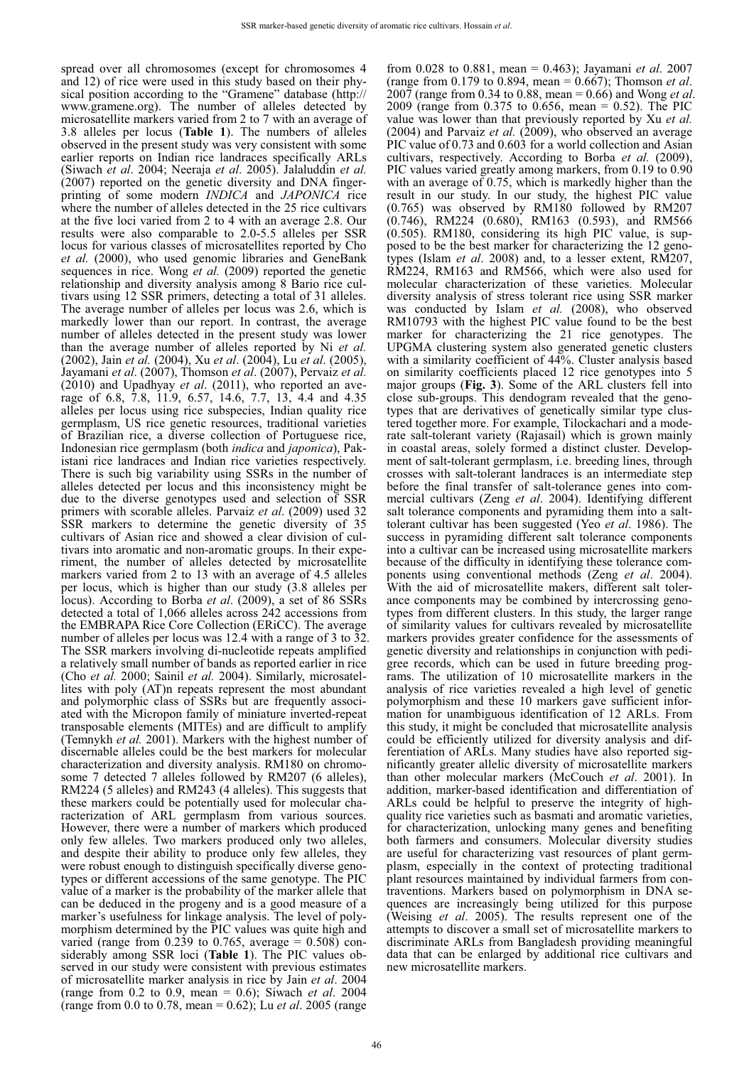spread over all chromosomes (except for chromosomes 4 and 12) of rice were used in this study based on their physical position according to the "Gramene" database (http:// www.gramene.org). The number of alleles detected by microsatellite markers varied from 2 to 7 with an average of 3.8 alleles per locus (**Table 1**). The numbers of alleles observed in the present study was very consistent with some earlier reports on Indian rice landraces specifically ARLs (Siwach *et al*. 2004; Neeraja *et al*. 2005). Jalaluddin *et al.*  (2007) reported on the genetic diversity and DNA fingerprinting of some modern *INDICA* and *JAPONICA* rice where the number of alleles detected in the 25 rice cultivars at the five loci varied from 2 to 4 with an average 2.8. Our results were also comparable to 2.0-5.5 alleles per SSR locus for various classes of microsatellites reported by Cho *et al.* (2000), who used genomic libraries and GeneBank sequences in rice. Wong *et al.* (2009) reported the genetic relationship and diversity analysis among 8 Bario rice cultivars using 12 SSR primers, detecting a total of 31 alleles. The average number of alleles per locus was 2.6, which is markedly lower than our report. In contrast, the average number of alleles detected in the present study was lower than the average number of alleles reported by Ni *et al.* (2002), Jain *et al.* (2004), Xu *et al*. (2004), Lu *et al*. (2005), Jayamani *et al*. (2007), Thomson *et al*. (2007), Pervaiz *et al.* (2010) and Upadhyay *et al*. (2011), who reported an average of 6.8, 7.8, 11.9, 6.57, 14.6, 7.7, 13, 4.4 and 4.35 alleles per locus using rice subspecies, Indian quality rice germplasm, US rice genetic resources, traditional varieties of Brazilian rice, a diverse collection of Portuguese rice, Indonesian rice germplasm (both *indica* and *japonica*), Pakistani rice landraces and Indian rice varieties respectively. There is such big variability using SSRs in the number of alleles detected per locus and this inconsistency might be due to the diverse genotypes used and selection of SSR primers with scorable alleles. Parvaiz *et al*. (2009) used 32 SSR markers to determine the genetic diversity of 35 cultivars of Asian rice and showed a clear division of cultivars into aromatic and non-aromatic groups. In their experiment, the number of alleles detected by microsatellite markers varied from 2 to 13 with an average of 4.5 alleles per locus, which is higher than our study (3.8 alleles per locus). According to Borba *et al*. (2009), a set of 86 SSRs detected a total of 1,066 alleles across 242 accessions from the EMBRAPA Rice Core Collection (ERiCC). The average number of alleles per locus was 12.4 with a range of 3 to 32. The SSR markers involving di-nucleotide repeats amplified a relatively small number of bands as reported earlier in rice (Cho *et al.* 2000; Sainil *et al.* 2004). Similarly, microsatellites with poly (AT)n repeats represent the most abundant and polymorphic class of SSRs but are frequently associated with the Micropon family of miniature inverted-repeat transposable elements (MITEs) and are difficult to amplify (Temnykh *et al.* 2001). Markers with the highest number of discernable alleles could be the best markers for molecular characterization and diversity analysis. RM180 on chromosome 7 detected 7 alleles followed by RM207 (6 alleles), RM224 (5 alleles) and RM243 (4 alleles). This suggests that these markers could be potentially used for molecular characterization of ARL germplasm from various sources. However, there were a number of markers which produced only few alleles. Two markers produced only two alleles, and despite their ability to produce only few alleles, they were robust enough to distinguish specifically diverse genotypes or different accessions of the same genotype. The PIC value of a marker is the probability of the marker allele that can be deduced in the progeny and is a good measure of a marker's usefulness for linkage analysis. The level of polymorphism determined by the PIC values was quite high and varied (range from  $0.239$  to  $0.765$ , average =  $0.508$ ) considerably among SSR loci (**Table 1**). The PIC values observed in our study were consistent with previous estimates of microsatellite marker analysis in rice by Jain *et al*. 2004 (range from 0.2 to 0.9, mean = 0.6); Siwach *et al*. 2004 (range from 0.0 to 0.78, mean = 0.62); Lu *et al*. 2005 (range

from 0.028 to 0.881, mean = 0.463); Jayamani *et al*. 2007 (range from 0.179 to 0.894, mean = 0.667); Thomson *et al*. 2007 (range from 0.34 to 0.88, mean = 0.66) and Wong *et al*. 2009 (range from 0.375 to 0.656, mean = 0.52). The PIC value was lower than that previously reported by Xu *et al.*  $(2004)$  and Parvaiz *et al.*  $(2009)$ , who observed an average PIC value of 0.73 and 0.603 for a world collection and Asian cultivars, respectively. According to Borba *et al.* (2009), PIC values varied greatly among markers, from 0.19 to 0.90 with an average of 0.75, which is markedly higher than the result in our study. In our study, the highest PIC value (0.765) was observed by RM180 followed by RM207 (0.746), RM224 (0.680), RM163 (0.593), and RM566 (0.505). RM180, considering its high PIC value, is supposed to be the best marker for characterizing the 12 genotypes (Islam *et al*. 2008) and, to a lesser extent, RM207, RM224, RM163 and RM566, which were also used for molecular characterization of these varieties. Molecular diversity analysis of stress tolerant rice using SSR marker was conducted by Islam *et al.* (2008), who observed RM10793 with the highest PIC value found to be the best marker for characterizing the 21 rice genotypes. The UPGMA clustering system also generated genetic clusters with a similarity coefficient of 44%. Cluster analysis based on similarity coefficients placed 12 rice genotypes into 5 major groups (**Fig. 3**). Some of the ARL clusters fell into close sub-groups. This dendogram revealed that the genotypes that are derivatives of genetically similar type clustered together more. For example, Tilockachari and a moderate salt-tolerant variety (Rajasail) which is grown mainly in coastal areas, solely formed a distinct cluster. Development of salt-tolerant germplasm, i.e. breeding lines, through crosses with salt-tolerant landraces is an intermediate step before the final transfer of salt-tolerance genes into commercial cultivars (Zeng *et al*. 2004). Identifying different salt tolerance components and pyramiding them into a salttolerant cultivar has been suggested (Yeo *et al*. 1986). The success in pyramiding different salt tolerance components into a cultivar can be increased using microsatellite markers because of the difficulty in identifying these tolerance components using conventional methods (Zeng *et al*. 2004). With the aid of microsatellite makers, different salt tolerance components may be combined by intercrossing genotypes from different clusters. In this study, the larger range of similarity values for cultivars revealed by microsatellite markers provides greater confidence for the assessments of genetic diversity and relationships in conjunction with pedigree records, which can be used in future breeding programs. The utilization of 10 microsatellite markers in the analysis of rice varieties revealed a high level of genetic polymorphism and these 10 markers gave sufficient information for unambiguous identification of 12 ARLs. From this study, it might be concluded that microsatellite analysis could be efficiently utilized for diversity analysis and differentiation of ARLs. Many studies have also reported significantly greater allelic diversity of microsatellite markers than other molecular markers (McCouch *et al*. 2001). In addition, marker-based identification and differentiation of ARLs could be helpful to preserve the integrity of highquality rice varieties such as basmati and aromatic varieties, for characterization, unlocking many genes and benefiting both farmers and consumers. Molecular diversity studies are useful for characterizing vast resources of plant germplasm, especially in the context of protecting traditional plant resources maintained by individual farmers from contraventions. Markers based on polymorphism in DNA sequences are increasingly being utilized for this purpose (Weising *et al*. 2005). The results represent one of the attempts to discover a small set of microsatellite markers to discriminate ARLs from Bangladesh providing meaningful data that can be enlarged by additional rice cultivars and new microsatellite markers.